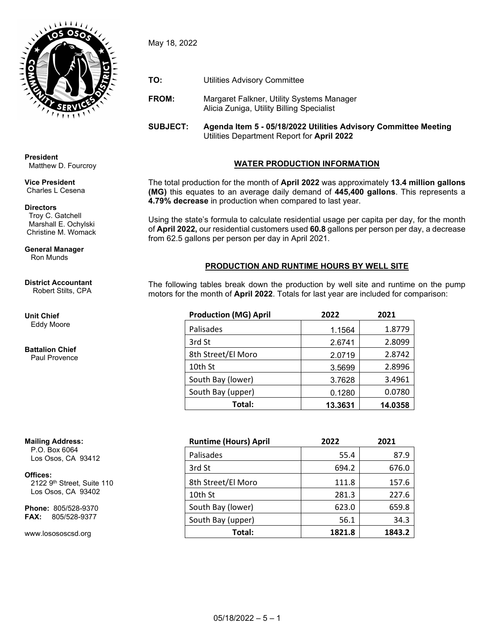

May 18, 2022

- **TO:** Utilities Advisory Committee
- **FROM:** Margaret Falkner, Utility Systems Manager Alicia Zuniga, Utility Billing Specialist

**SUBJECT: Agenda Item 5 - 05/18/2022 Utilities Advisory Committee Meeting** Utilities Department Report for **April 2022**

# **WATER PRODUCTION INFORMATION**

The total production for the month of **April 2022** was approximately **13.4 million gallons (MG)** this equates to an average daily demand of **445,400 gallons**. This represents a **4.79% decrease** in production when compared to last year.

Using the state's formula to calculate residential usage per capita per day, for the month of **April 2022,** our residential customers used **60.8** gallons per person per day, a decrease from 62.5 gallons per person per day in April 2021.

## **PRODUCTION AND RUNTIME HOURS BY WELL SITE**

The following tables break down the production by well site and runtime on the pump motors for the month of **April 2022**. Totals for last year are included for comparison:

| <b>Production (MG) April</b> | 2022    | 2021    |  |  |
|------------------------------|---------|---------|--|--|
| Palisades                    | 1.1564  | 1.8779  |  |  |
| 3rd St                       | 2.6741  | 2.8099  |  |  |
| 8th Street/El Moro           | 2.0719  | 2.8742  |  |  |
| 10th St                      | 3.5699  | 2.8996  |  |  |
| South Bay (lower)            | 3.7628  | 3.4961  |  |  |
| South Bay (upper)            | 0.1280  | 0.0780  |  |  |
| Total:                       | 13.3631 | 14.0358 |  |  |

| <b>Runtime (Hours) April</b> | 2022   | 2021   |
|------------------------------|--------|--------|
| Palisades                    | 55.4   | 87.9   |
| 3rd St                       | 694.2  | 676.0  |
| 8th Street/El Moro           | 111.8  | 157.6  |
| 10th St                      | 281.3  | 227.6  |
| South Bay (lower)            | 623.0  | 659.8  |
| South Bay (upper)            | 56.1   | 34.3   |
| Total:                       | 1821.8 | 1843.2 |

**President** Matthew D. Fourcroy

**Vice President** Charles L Cesena

### **Directors**

 Troy C. Gatchell Marshall E. Ochylski Christine M. Womack

**General Manager** Ron Munds

#### **District Accountant** Robert Stilts, CPA

**Unit Chief** Eddy Moore

#### **Battalion Chief** Paul Provence

**Mailing Address:** P.O. Box 6064

Los Osos, CA 93412

**Offices:**

2122 9<sup>th</sup> Street, Suite 110 Los Osos, CA 93402

**Phone:** 805/528-9370 **FAX:** 805/528-9377

www.losososcsd.org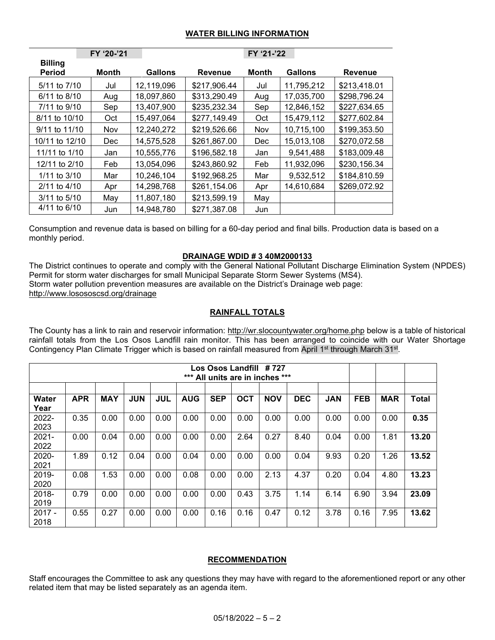### **WATER BILLING INFORMATION**

|                                 | FY '20-'21 |            |                | FY '21-'22 |                |                |
|---------------------------------|------------|------------|----------------|------------|----------------|----------------|
| <b>Billing</b><br><b>Period</b> | Month      | Gallons    | <b>Revenue</b> | Month      | <b>Gallons</b> | <b>Revenue</b> |
| 5/11 to 7/10                    | Jul        | 12,119,096 | \$217,906.44   | Jul        | 11,795,212     | \$213,418.01   |
| $6/11$ to $8/10$                | Aug        | 18,097,860 | \$313,290.49   | Aug        | 17,035,700     | \$298,796.24   |
| 7/11 to 9/10                    | Sep        | 13,407,900 | \$235,232.34   | Sep        | 12,846,152     | \$227,634.65   |
| 8/11 to 10/10                   | Oct        | 15,497,064 | \$277,149.49   | Oct        | 15,479,112     | \$277,602.84   |
| 9/11 to 11/10                   | Nov        | 12,240,272 | \$219,526.66   | Nov        | 10,715,100     | \$199,353.50   |
| 10/11 to 12/10                  | <b>Dec</b> | 14,575,528 | \$261,867.00   | Dec        | 15,013,108     | \$270,072.58   |
| 11/11 to 1/10                   | Jan        | 10,555,776 | \$196,582.18   | Jan        | 9,541,488      | \$183,009.48   |
| 12/11 to 2/10                   | Feb        | 13,054,096 | \$243,860.92   | Feb        | 11,932,096     | \$230,156.34   |
| $1/11$ to $3/10$                | Mar        | 10,246,104 | \$192,968.25   | Mar        | 9,532,512      | \$184,810.59   |
| $2/11$ to $4/10$                | Apr        | 14,298,768 | \$261,154.06   | Apr        | 14,610,684     | \$269,072.92   |
| 3/11 to 5/10                    | May        | 11,807,180 | \$213,599.19   | May        |                |                |
| 4/11 to 6/10                    | Jun        | 14,948,780 | \$271,387.08   | Jun        |                |                |

Consumption and revenue data is based on billing for a 60-day period and final bills. Production data is based on a monthly period.

### **DRAINAGE WDID # 3 40M2000133**

The District continues to operate and comply with the General National Pollutant Discharge Elimination System (NPDES) Permit for storm water discharges for small Municipal Separate Storm Sewer Systems (MS4). Storm water pollution prevention measures are available on the District's Drainage web page: <http://www.losososcsd.org/drainage>

## **RAINFALL TOTALS**

The County has a link to rain and reservoir information:<http://wr.slocountywater.org/home.php> below is a table of historical rainfall totals from the Los Osos Landfill rain monitor. This has been arranged to coincide with our Water Shortage Contingency Plan Climate Trigger which is based on rainfall measured from April 1<sup>st</sup> through March 31<sup>st</sup>.

| # 727<br>Los Osos Landfill<br>***<br>All units are in inches *** |            |            |            |            |            |            |            |            |            |            |            |            |              |
|------------------------------------------------------------------|------------|------------|------------|------------|------------|------------|------------|------------|------------|------------|------------|------------|--------------|
| <b>Water</b>                                                     | <b>APR</b> | <b>MAY</b> | <b>JUN</b> | <b>JUL</b> | <b>AUG</b> | <b>SEP</b> | <b>OCT</b> | <b>NOV</b> | <b>DEC</b> | <b>JAN</b> | <b>FEB</b> | <b>MAR</b> | <b>Total</b> |
| Year<br>2022-<br>2023                                            | 0.35       | 0.00       | 0.00       | 0.00       | 0.00       | 0.00       | 0.00       | 0.00       | 0.00       | 0.00       | 0.00       | 0.00       | 0.35         |
| $2021 -$<br>2022                                                 | 0.00       | 0.04       | 0.00       | 0.00       | 0.00       | 0.00       | 2.64       | 0.27       | 8.40       | 0.04       | 0.00       | 1.81       | 13.20        |
| 2020-<br>2021                                                    | 1.89       | 0.12       | 0.04       | 0.00       | 0.04       | 0.00       | 0.00       | 0.00       | 0.04       | 9.93       | 0.20       | 1.26       | 13.52        |
| 2019-<br>2020                                                    | 0.08       | 1.53       | 0.00       | 0.00       | 0.08       | 0.00       | 0.00       | 2.13       | 4.37       | 0.20       | 0.04       | 4.80       | 13.23        |
| 2018-<br>2019                                                    | 0.79       | 0.00       | 0.00       | 0.00       | 0.00       | 0.00       | 0.43       | 3.75       | 1.14       | 6.14       | 6.90       | 3.94       | 23.09        |
| $2017 -$<br>2018                                                 | 0.55       | 0.27       | 0.00       | 0.00       | 0.00       | 0.16       | 0.16       | 0.47       | 0.12       | 3.78       | 0.16       | 7.95       | 13.62        |

### **RECOMMENDATION**

Staff encourages the Committee to ask any questions they may have with regard to the aforementioned report or any other related item that may be listed separately as an agenda item.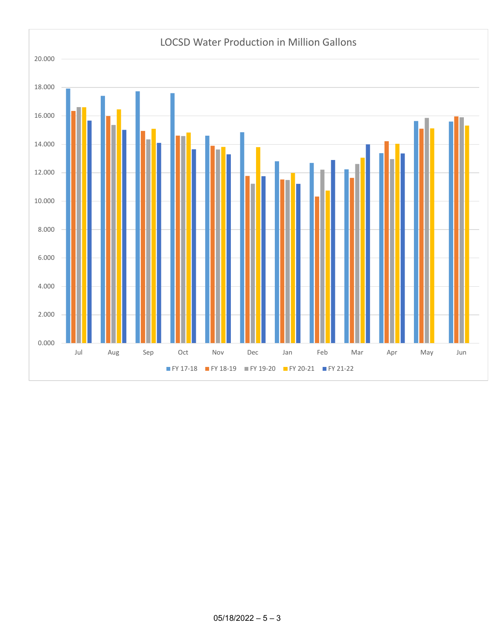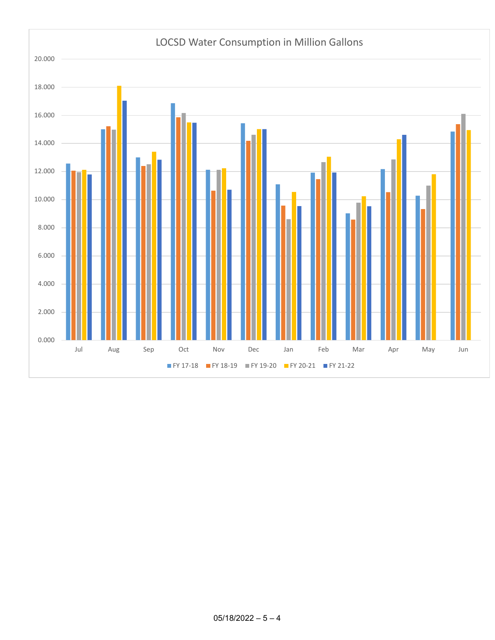